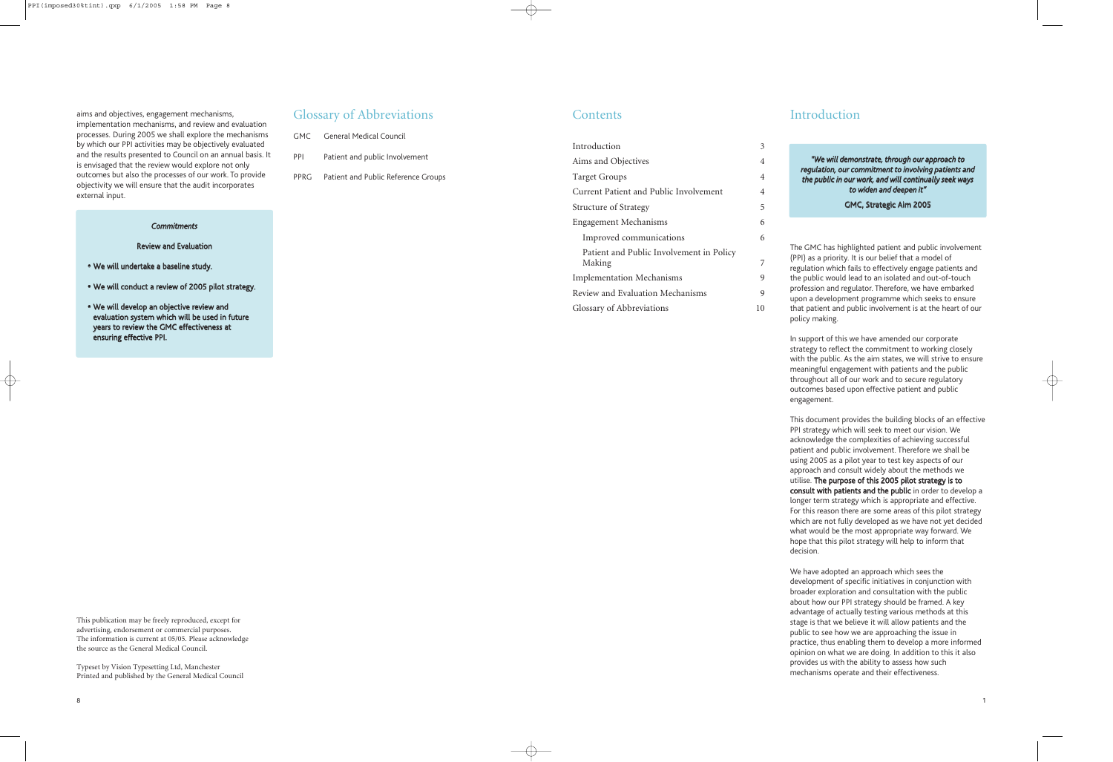aims and objectives, engagement mechanisms, implementation mechanisms, and review and evaluation processes. During 2005 we shall explore the mechanisms by which our PPI activities may be objectively evaluated and the results presented to Council on an annual basis. It is envisaged that the review would explore not only outcomes but also the processes of our work. To provide objectivity we will ensure that the audit incorporates external input.

Typeset by Vision Typesetting Ltd, Manchester Printed and published by the General Medical Council

## Glossary of Abbreviations

|            | <b>GMC General Medical Council</b>       |
|------------|------------------------------------------|
| <b>PPI</b> | Patient and public Involvement           |
|            | PPRG Patient and Public Reference Groups |
|            |                                          |

### **Contents**

#### *Commitments*

#### Review and Evaluation

- ∑ We will undertake a baseline study.
- We will conduct a review of 2005 pilot strategy.
- We will develop an objective review and evaluation system which will be used in future years to review the GMC effectiveness at ensuring effective PPI.

| Introduction                             | 3  |  |
|------------------------------------------|----|--|
| Aims and Objectives                      | 4  |  |
| <b>Target Groups</b>                     | 4  |  |
| Current Patient and Public Involvement   | 4  |  |
| <b>Structure of Strategy</b>             | 5  |  |
| <b>Engagement Mechanisms</b>             | 6  |  |
| Improved communications                  | 6  |  |
| Patient and Public Involvement in Policy |    |  |
| Making                                   | 7  |  |
| <b>Implementation Mechanisms</b>         | 9  |  |
| Review and Evaluation Mechanisms         | 9  |  |
| Glossary of Abbreviations                | 10 |  |

## Introduction

The GMC has highlighted patient and public involvement (PPI) as a priority. It is our belief that a model of regulation which fails to effectively engage patients and the public would lead to an isolated and out-of-touch profession and regulator. Therefore, we have embarked upon a development programme which seeks to ensure that patient and public involvement is at the heart of our policy making.

In support of this we have amended our corporate strategy to reflect the commitment to working closely with the public. As the aim states, we will strive to ensure meaningful engagement with patients and the public throughout all of our work and to secure regulatory outcomes based upon effective patient and public engagement.

This document provides the building blocks of an effective PPI strategy which will seek to meet our vision. We acknowledge the complexities of achieving successful patient and public involvement. Therefore we shall be using 2005 as a pilot year to test key aspects of our approach and consult widely about the methods we utilise. The purpose of this 2005 pilot strategy is to consult with patients and the public in order to develop a longer term strategy which is appropriate and effective. For this reason there are some areas of this pilot strategy which are not fully developed as we have not yet decided what would be the most appropriate way forward. We hope that this pilot strategy will help to inform that decision.

We have adopted an approach which sees the development of specific initiatives in conjunction with broader exploration and consultation with the public about how our PPI strategy should be framed. A key advantage of actually testing various methods at this stage is that we believe it will allow patients and the public to see how we are approaching the issue in practice, thus enabling them to develop a more informed opinion on what we are doing. In addition to this it also provides us with the ability to assess how such mechanisms operate and their effectiveness.

*"We will demonstrate, through our approach to regulation, our commitment to involving patients and the public in our work, and will continually seek ways to widen and deepen it"* 

#### GMC, Strategic Aim 2005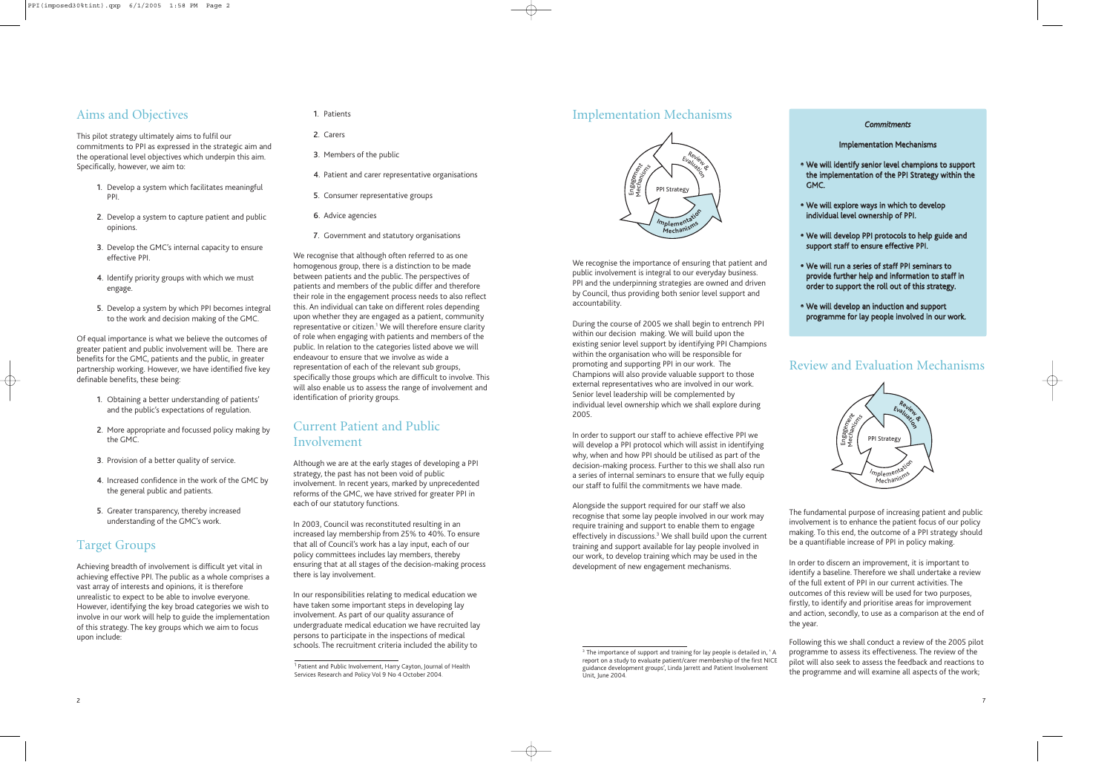## Implementation Mechanisms

We recognise the importance of ensuring that patient and public involvement is integral to our everyday business. PPI and the underpinning strategies are owned and driven by Council, thus providing both senior level support and accountability.

During the course of 2005 we shall begin to entrench PPI within our decision making. We will build upon the existing senior level support by identifying PPI Champions within the organisation who will be responsible for promoting and supporting PPI in our work. The Champions will also provide valuable support to those external representatives who are involved in our work. Senior level leadership will be complemented by individual level ownership which we shall explore during 2005.

In order to support our staff to achieve effective PPI we will develop a PPI protocol which will assist in identifying why, when and how PPI should be utilised as part of the decision-making process. Further to this we shall also run a series of internal seminars to ensure that we fully equip our staff to fulfil the commitments we have made.

<sup>3</sup> The importance of support and training for lay people is detailed in, 'A report on a study to evaluate patient/carer membership of the first NICE guidance development groups', Linda Jarrett and Patient Involvement

Alongside the support required for our staff we also recognise that some lay people involved in our work may require training and support to enable them to engage effectively in discussions.<sup>3</sup> We shall build upon the current training and support available for lay people involved in our work, to develop training which may be used in the development of new engagement mechanisms.

## Review and Evaluation Mechanisms

- We will identify senior level champions to support the implementation of the PPI Strategy within the GMC.
- We will explore ways in which to develop individual level ownership of PPI.
- We will develop PPI protocols to help guide and support staff to ensure effective PPI.
- ∑ We will run a series of staff PPI seminars to provide further help and information to staff in order to support the roll out of this strategy.
- We will develop an induction and support programme for lay people involved in our work.

The fundamental purpose of increasing patient and public involvement is to enhance the patient focus of our policy making. To this end, the outcome of a PPI strategy should be a quantifiable increase of PPI in policy making.

In order to discern an improvement, it is important to identify a baseline. Therefore we shall undertake a review of the full extent of PPI in our current activities. The outcomes of this review will be used for two purposes, firstly, to identify and prioritise areas for improvement and action, secondly, to use as a comparison at the end of the year.

Following this we shall conduct a review of the 2005 pilot programme to assess its effectiveness. The review of the pilot will also seek to assess the feedback and reactions to the programme and will examine all aspects of the work;

Unit, June 2004.

#### *Commitments*

### Implementation Mechanisms





# Aims and Objectives

This pilot strategy ultimately aims to fulfil our commitments to PPI as expressed in the strategic aim and the operational level objectives which underpin this aim. Specifically, however, we aim to:

- 1. Develop a system which facilitates meaningful PPI.
- 2. Develop a system to capture patient and public opinions.
- 3. Develop the GMC's internal capacity to ensure effective PPI.
- 4. Identify priority groups with which we must engage.
- 5. Develop a system by which PPI becomes integral to the work and decision making of the GMC.

Of equal importance is what we believe the outcomes of greater patient and public involvement will be. There are benefits for the GMC, patients and the public, in greater partnership working. However, we have identified five key definable benefits, these being:

- 1. Obtaining a better understanding of patients' and the public's expectations of regulation.
- 2. More appropriate and focussed policy making by the GMC.
- 3. Provision of a better quality of service.
- 4. Increased confidence in the work of the GMC by the general public and patients.
- 5. Greater transparency, thereby increased understanding of the GMC's work.

# Target Groups

Achieving breadth of involvement is difficult yet vital in achieving effective PPI. The public as a whole comprises a vast array of interests and opinions, it is therefore unrealistic to expect to be able to involve everyone. However, identifying the key broad categories we wish to involve in our work will help to guide the implementation of this strategy. The key groups which we aim to focus upon include:

### 1. Patients

- 2. Carers
- 3. Members of the public
- 4. Patient and carer representative organisations
- 5. Consumer representative groups
- 6. Advice agencies
- 7. Government and statutory organisations

We recognise that although often referred to as one homogenous group, there is a distinction to be made between patients and the public. The perspectives of patients and members of the public differ and therefore their role in the engagement process needs to also reflect this. An individual can take on different roles depending upon whether they are engaged as a patient, community representative or citizen.<sup>1</sup> We will therefore ensure clarity of role when engaging with patients and members of the public. In relation to the categories listed above we will endeavour to ensure that we involve as wide a representation of each of the relevant sub groups, specifically those groups which are difficult to involve. This will also enable us to assess the range of involvement and identification of priority groups.

# Current Patient and Public Involvement

Although we are at the early stages of developing a PPI strategy, the past has not been void of public involvement. In recent years, marked by unprecedented reforms of the GMC, we have strived for greater PPI in each of our statutory functions.

In 2003, Council was reconstituted resulting in an increased lay membership from 25% to 40%. To ensure that all of Council's work has a lay input, each of our policy committees includes lay members, thereby ensuring that at all stages of the decision-making process there is lay involvement.

In our responsibilities relating to medical education we have taken some important steps in developing lay involvement. As part of our quality assurance of undergraduate medical education we have recruited lay persons to participate in the inspections of medical schools. The recruitment criteria included the ability to

<sup>&</sup>lt;sup>1</sup> Patient and Public Involvement, Harry Cayton, Journal of Health Services Research and Policy Vol 9 No 4 October 2004.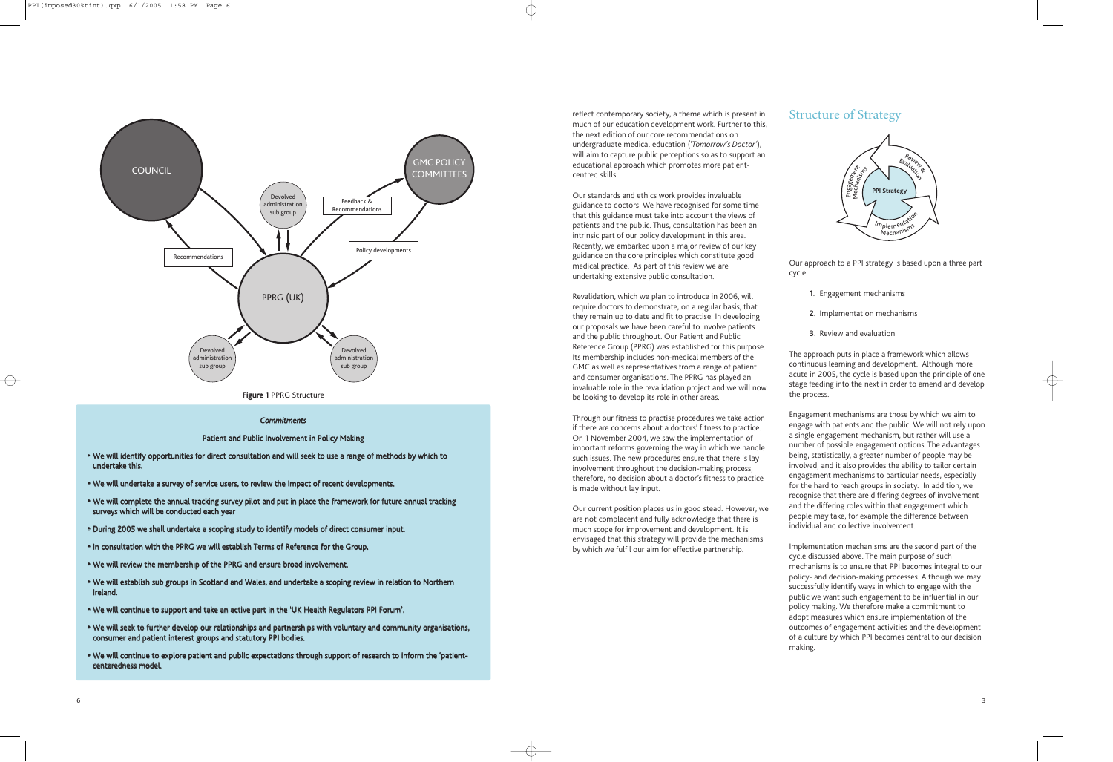reflect contemporary society, a theme which is present in much of our education development work. Further to this, the next edition of our core recommendations on undergraduate medical education ('*Tomorrow's Doctor'*), will aim to capture public perceptions so as to support an educational approach which promotes more patientcentred skills.

Our standards and ethics work provides invaluable guidance to doctors. We have recognised for some time that this guidance must take into account the views of patients and the public. Thus, consultation has been an intrinsic part of our policy development in this area. Recently, we embarked upon a major review of our key guidance on the core principles which constitute good medical practice. As part of this review we are undertaking extensive public consultation.

Revalidation, which we plan to introduce in 2006, will require doctors to demonstrate, on a regular basis, that they remain up to date and fit to practise. In developing our proposals we have been careful to involve patients and the public throughout. Our Patient and Public Reference Group (PPRG) was established for this purpose. Its membership includes non-medical members of the GMC as well as representatives from a range of patient and consumer organisations. The PPRG has played an invaluable role in the revalidation project and we will now be looking to develop its role in other areas.

Through our fitness to practise procedures we take action if there are concerns about a doctors' fitness to practice. On 1 November 2004, we saw the implementation of important reforms governing the way in which we handle such issues. The new procedures ensure that there is lay involvement throughout the decision-making process, therefore, no decision about a doctor's fitness to practice is made without lay input.

Our current position places us in good stead. However, we are not complacent and fully acknowledge that there is much scope for improvement and development. It is envisaged that this strategy will provide the mechanisms by which we fulfil our aim for effective partnership.

### Structure of Strategy

Our approach to a PPI strategy is based upon a three part cycle:

- 1. Engagement mechanisms
- 2. Implementation mechanisms
- 3. Review and evaluation

The approach puts in place a framework which allows continuous learning and development. Although more acute in 2005, the cycle is based upon the principle of one stage feeding into the next in order to amend and develop the process.

Engagement mechanisms are those by which we aim to engage with patients and the public. We will not rely upon a single engagement mechanism, but rather will use a number of possible engagement options. The advantages being, statistically, a greater number of people may be involved, and it also provides the ability to tailor certain engagement mechanisms to particular needs, especially for the hard to reach groups in society. In addition, we recognise that there are differing degrees of involvement and the differing roles within that engagement which people may take, for example the difference between individual and collective involvement.

Implementation mechanisms are the second part of the cycle discussed above. The main purpose of such mechanisms is to ensure that PPI becomes integral to our policy- and decision-making processes. Although we may successfully identify ways in which to engage with the public we want such engagement to be influential in our policy making. We therefore make a commitment to adopt measures which ensure implementation of the outcomes of engagement activities and the development of a culture by which PPI becomes central to our decision making.





#### *Commitments*

Patient and Public Involvement in Policy Making

- ∑ We will identify opportunities for direct consultation and will seek to use a range of methods by which to undertake this.
- We will undertake a survey of service users, to review the impact of recent developments.
- ∑ We will complete the annual tracking survey pilot and put in place the framework for future annual tracking surveys which will be conducted each year
- ∑ During 2005 we shall undertake a scoping study to identify models of direct consumer input.
- In consultation with the PPRG we will establish Terms of Reference for the Group.
- We will review the membership of the PPRG and ensure broad involvement.
- ∑ We will establish sub groups in Scotland and Wales, and undertake a scoping review in relation to Northern Ireland.
- ∑ We will continue to support and take an active part in the 'UK Health Regulators PPI Forum'.
- We will seek to further develop our relationships and partnerships with voluntary and community organisations, consumer and patient interest groups and statutory PPI bodies.
- ∑ We will continue to explore patient and public expectations through support of research to inform the 'patientcenteredness model.